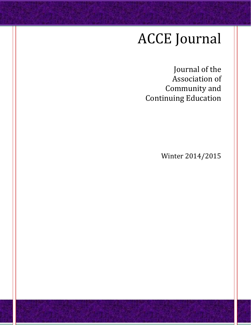# ACCE Journal

Journal of the Association of Community and Continuing Education

Winter 2014/2015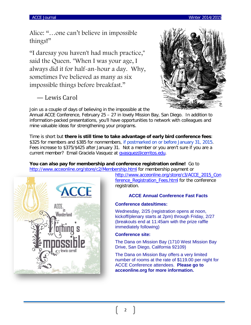Alice: "…one can't believe in impossible things!"

"I daresay you haven't had much practice," said the Queen. "When I was your age, I always did it for half-an-hour a day. Why, sometimes I've believed as many as six impossible things before breakfast."

# — Lewis Carol

Join us a couple of days of believing in the impossible at the

Annual ACCE Conference, February 25 – 27 in lovely Mission Bay, San Diego. In addition to information-packed presentations, you'll have opportunities to network with colleagues and mine valuable ideas for strengthening your programs.

Time is short but **there is still time to take advantage of early bird conference fees**: \$325 for members and \$385 for nonmembers, if postmarked on or before January 31, 2015. Fees increase to \$375/\$425 after January 31. Not a member or you aren't sure if you are a current member? Email Graciela Vasquez at [gvasquez@cerritos.edu.](mailto:gvasquez@cerritos.edu)

## **You can also pay for membership and conference registration online!** Go to <http://www.acceonline.org/store/c2/Membership.html> for membership payment or



[http://www.acceonline.org/store/c3/ACCE\\_2015\\_Con](http://www.acceonline.org/store/c3/ACCE_2015_Conference_Registration_Fees.html) [ference\\_Registration\\_Fees.html](http://www.acceonline.org/store/c3/ACCE_2015_Conference_Registration_Fees.html) for the conference registration.

## **ACCE Annual Conference Fast Facts**

## **Conference dates/times:**

Wednesday, 2/25 (registration opens at noon, kickoff/plenary starts at 2pm) through Friday, 2/27 (breakouts end at 11:45am with the prize raffle immediately following)

## **Conference site:**

The Dana on Mission Bay (1710 West Mission Bay Drive, San Diego, California 92109)

The Dana on Mission Bay offers a very limited number of rooms at the rate of \$119.00 per night for ACCE Conference attendees. **Please go to acceonline.org for more information.**

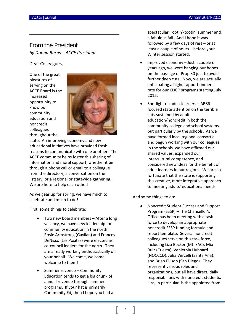## From the President *by Donna Burns – ACCE President*

Dear Colleagues,

One of the great pleasures of serving on the ACCE Board is the increased opportunity to know our community education and noncredit colleagues throughout the



state. An improving economy and new educational initiatives have provided fresh reasons to communicate with one another. The ACCE community helps foster this sharing of information and moral support, whether it be through a phone call or email to a colleague from the directory, a conversation on the listserv, or a regional or statewide gathering. We are here to help each other!

As we gear up for spring, we have much to celebrate and much to do!

First, some things to celebrate:

- Two new board members After a long vacancy, we have new leadership for community education in the north! Rosie Armstrong (Gavilan) and Frances DeNisco (Las Positas) were elected as co-council leaders for the north. They are already working enthusiastically on your behalf. Welcome, welcome, welcome to them!
- Summer revenue Community Education tends to get a big chunk of annual revenue through summer programs. If your hat is primarily Community Ed, then I hope you had a

spectacular, rootin'-tootin' summer and a fabulous fall. And I hope it was followed by a few days of rest – or at least a couple of hours – before your Winter session started.

- Improved economy  $-$  Just a couple of years ago, we were hanging our hopes on the passage of Prop 30 just to avoid further deep cuts. Now, we are actually anticipating a higher apportionment rate for our CDCP programs starting July 2015.
- Spotlight on adult learners AB86 focused state attention on the terrible cuts sustained by adult education/noncredit in both the community college and school systems, but particularly by the schools. As we have formed local regional consortia and begun working with our colleagues in the schools, we have affirmed our shared values, expanded our intercultural competence, and considered new ideas for the benefit of adult learners in our regions. We are so fortunate that the state is supporting this creative, more integrative approach to meeting adults' educational needs.

And some things to do:

• Noncredit Student Success and Support Program (SSSP) – The Chancellor's Office has been meeting with a task force to develop an appropriate noncredit SSSP funding formula and report template. Several noncredit colleagues serve on this task force, including Liza Becker (Mt. SAC), Mia Ruiz (Cuesta), Veniethia Hubbard (NOCCCD), Julia Vercelli (Santa Ana), and Brian Ellison (San Diego). They represent various roles and organizations, but all have direct, daily responsibilities with noncredit students. Liza, in particular, is the appointee from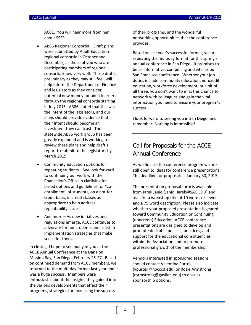ACCE. You will hear more from her about SSSP.

- AB86 Regional Consortia Draft plans were submitted by Adult Education regional consortia in October and December, as those of you who are participating members of regional consortia know very well. These drafts, preliminary as they may still feel, will help inform the Department of Finance and legislators as they consider potential new money for adult learners through the regional consortia starting in July 2015. AB86 stated that this was the intent of the legislators, and our plans should provide evidence that their intent should become an investment they can trust. The statewide AB86 work group has been greatly expanded and is working to review these plans and help draft a report to submit to the legislators by March 2015.
- Community education options for repeating students – We look forward to continuing our work with the Chancellor's Office in clarifying feebased options and guidelines for "coenrollment" of students, on a not-forcredit basis, in credit classes as appropriate to help address repeatability issues.
- And more As new initiatives and regulations emerge, ACCE continues to advocate for our students and assist in implementation strategies that make sense for them.

In closing, I hope to see many of you at the ACCE Annual Conference at the Dana on Mission Bay, San Diego, February 25-27. Based on continued demand from ACCE members, we returned to the multi-day format last year and it was a huge success. Members were enthusiastic about the insights they gained into the various developments that affect their programs, strategies for increasing the success

of their programs, and the wonderful networking opportunities that the conference provides.

Based on last year's successful format, we are repeating the multiday format for this spring's annual conference in San Diego. It promises to be as informative, compelling and vital as our San Francisco conference. Whether your job duties include community education, noncredit education, workforce development, or a bit of all three, you don't want to miss this chance to network with colleagues and gain the vital information you need to ensure your program's success.

I look forward to seeing you in San Diego, and remember: Nothing is impossible!

# Call for Proposals for the ACCE Annual Conference

As we finalize the conference program we are still open to ideas for conference presentations! The deadline for proposals is January 30, 2015.

The presentation proposal form is available from Jarek Janio (Janio Jarek@SAC.EDU) and asks for a workshop title of 10 words or fewer and a 75 word description. Please also indicate whether your proposed presentation is geared toward Community Education or Continuing (noncredit) Education. ACCE conference presentations are designed to develop and promote desirable policies, practices, and support for the educational constituencies within the Association and to promote professional growth of the membership.

Vendors interested in sponsored sessions should contact Valentina Purtell (vpurtell@nocccd.edu) or Rosie Armstrong (rarmstrong@gavilan.edu) to discuss sponsorship options.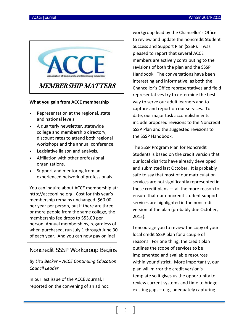

## **What you gain from ACCE membership**

- Representation at the regional, state and national levels.
- A quarterly newsletter, statewide college and membership directory, discount rates to attend both regional workshops and the annual conference.
- Legislative liaison and analysis.
- Affiliation with other professional organizations.
- Support and mentoring from an experienced network of professionals.

You can inquire about ACCE membership at: [http://acceonline.org](http://acceonline.org/) . Cost for this year's membership remains unchanged: \$60.00 per year per person, but if there are three or more people from the same college, the membership fee drops to \$53.00 per person. Annual memberships, regardless of when purchased, run July 1 through June 30 of each year. And you can now pay online!

## Noncredit SSSP Workgroup Begins

## *By Liza Becker – ACCE Continuing Education Council Leader*

In our last issue of the ACCE Journal, I reported on the convening of an ad hoc workgroup lead by the Chancellor's Office to review and update the noncredit Student Success and Support Plan (SSSP). I was pleased to report that several ACCE members are actively contributing to the revisions of both the plan and the SSSP Handbook. The conversations have been interesting and informative, as both the Chancellor's Office representatives and field representatives try to determine the best way to serve our adult learners and to capture and report on our services. To date, our major task accomplishments include proposed revisions to the Noncredit SSSP Plan and the suggested revisions to the SSSP Handbook.

The SSSP Program Plan for Noncredit Students is based on the credit version that our local districts have already developed and submitted last October. It is probably safe to say that most of our matriculation services are not significantly represented in these credit plans — all the more reason to ensure that our noncredit student support services are highlighted in the noncredit version of the plan (probably due October, 2015).

I encourage you to review the copy of your local credit SSSP plan for a couple of reasons. For one thing, the credit plan outlines the scope of services to be implemented and available resources within your district. More importantly, our plan will mirror the credit version's template so it gives us the opportunity to review current systems and time to bridge existing gaps – e.g., adequately capturing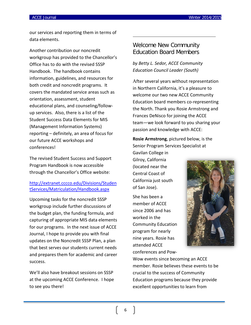our services and reporting them in terms of data elements.

Another contribution our noncredit workgroup has provided to the Chancellor's Office has to do with the revised SSSP Handbook. The handbook contains information, guidelines, and resources for both credit and noncredit programs. It covers the mandated service areas such as orientation, assessment, student educational plans, and counseling/followup services. Also, there is a list of the Student Success Data Elements for MIS (Management Information Systems) reporting – definitely, an area of focus for our future ACCE workshops and conferences!

The revised Student Success and Support Program Handbook is now accessible through the Chancellor's Office website:

[http://extranet.cccco.edu/Divisions/Studen](http://extranet.cccco.edu/Divisions/StudentServices/Matriculation/Handbook.aspx) [tServices/Matriculation/Handbook.aspx](http://extranet.cccco.edu/Divisions/StudentServices/Matriculation/Handbook.aspx)

Upcoming tasks for the noncredit SSSP workgroup include further discussions of the budget plan, the funding formula, and capturing of appropriate MIS data elements for our programs. In the next issue of ACCE Journal, I hope to provide you with final updates on the Noncredit SSSP Plan, a plan that best serves our students current needs and prepares them for academic and career success.

We'll also have breakout sessions on SSSP at the upcoming ACCE Conference. I hope to see you there!

## Welcome New Community Education Board Members

*by Betty L. Sedor, ACCE Community Education Council Leader (South)*

After several years without representation in Northern California, it's a pleasure to welcome our two new ACCE Community Education board members co-representing the North. Thank you Rosie Armstrong and Frances DeNisco for joining the ACCE team—we look forward to you sharing your passion and knowledge with ACCE:

**Rosie Armstrong**, pictured below, is the Senior Program Services Specialist at

Gavilan College in Gilroy, California (located near the Central Coast of California just south of San Jose).

She has been a member of ACCE since 2006 and has worked in the Community Education program for nearly nine years. Rosie has attended ACCE conferences and Pow-



Wow events since becoming an ACCE member. Rosie believes these events to be crucial to the success of Community Education programs because they provide excellent opportunities to learn from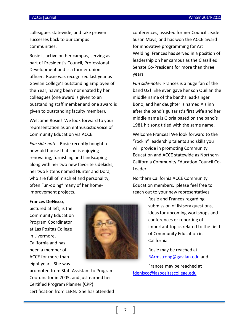colleagues statewide, and take proven successes back to our campus communities.

Rosie is active on her campus, serving as part of President's Council, Professional Development and is a former union officer. Rosie was recognized last year as Gavilan College's outstanding Employee of the Year, having been nominated by her colleagues (one award is given to an outstanding staff member and one award is given to outstanding faculty member).

Welcome Rosie! We look forward to your representation as an enthusiastic voice of Community Education via ACCE.

*Fun side-note*: Rosie recently bought a new-old house that she is enjoying renovating, furnishing and landscaping along with her two new favorite sidekicks, her two kittens named Hunter and Dora, who are full of mischief and personality, often "un-doing" many of her homeimprovement projects.

conferences, assisted former Council Leader Susan Mays, and has won the ACCE award for innovative programming for Art Welding. Frances has served in a position of leadership on her campus as the Classified Senate Co-President for more than three years.

*Fun side-note*: Frances is a huge fan of the band U2! She even gave her son Quillan the middle name of the band's lead-singer Bono, and her daughter is named Aislinn after the band's guitarist's first wife and her middle name is Gloria based on the band's 1981 hit song titled with the same name.

Welcome Frances! We look forward to the "rockin" leadership talents and skills you will provide in promoting Community Education and ACCE statewide as Northern California Community Education Council Co-Leader.

Northern California ACCE Community Education members, please feel free to reach out to your new representatives

#### **Frances DeNisco**,

pictured at left, is the Community Education Program Coordinator at Las Positas College in Livermore, California and has been a member of ACCE for more than eight years. She was



promoted from Staff Assistant to Program Coordinator in 2005, and just earned her Certified Program Planner (CPP) certification from LERN. She has attended

Rosie and Frances regarding submission of listserv questions, ideas for upcoming workshops and conferences or reporting of important topics related to the field of Community Education in California:

Rosie may be reached at [RArmstrong@gavilan.edu](mailto:RArmstrong@gavilan.edu) and

Frances may be reached at [fdenisco@laspositascollege.edu](mailto:fdenisco@laspositascollege.edu)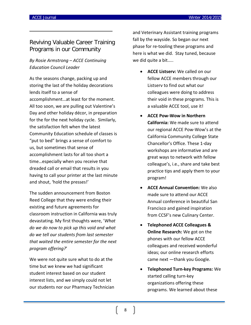# Reviving Valuable Career Training Programs in our Community

## *By Rosie Armstrong – ACCE Continuing Education Council Leader*

As the seasons change, packing up and storing the last of the holiday decorations lends itself to a sense of accomplishment…at least for the moment. All too soon, we are pulling out Valentine's Day and other holiday décor, in preparation for the for the next holiday cycle. Similarly, the satisfaction felt when the latest Community Education schedule of classes is "put to bed" brings a sense of comfort to us, but sometimes that sense of accomplishment lasts for all too short a time…especially when you receive that dreaded call or email that results in you having to call your printer at the last minute and shout, 'hold the presses!'

The sudden announcement from Boston Reed College that they were ending their existing and future agreements for classroom instruction in California was truly devastating. My first thoughts were, '*What do we do now to pick up this void and what do we tell our students from last semester that waited the entire semester for the next program offering?*'

We were not quite sure what to do at the time but we knew we had significant student interest based on our student interest lists, and we simply could not let our students nor our Pharmacy Technician and Veterinary Assistant training programs fall by the wayside. So began our next phase for re-tooling these programs and here is what we did. Stay tuned, because we did quite a bit…..

- **ACCE Listserv:** We called on our fellow ACCE members through our Listserv to find out what our colleagues were doing to address their void in these programs. This is a valuable ACCE tool, use it!
- **ACCE Pow-Wow in Northern California:** We made sure to attend our regional ACCE Pow-Wow's at the California Community College State Chancellor's Office. These 1-day workshops are informative and are great ways to network with fellow colleague's, i.e., share and take best practice tips and apply them to your program!
- **ACCE Annual Convention:** We also made sure to attend our ACCE Annual conference in beautiful San Francisco and gained inspiration from CCSF's new Culinary Center.
- **Telephoned ACCE Colleagues & Online Research:** We got on the phones with our fellow ACCE colleagues and received wonderful ideas; our online research efforts came next —thank you Google.
- **Telephoned Turn-key Programs:** We started calling turn-key organizations offering these programs. We learned about these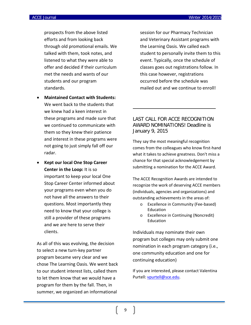prospects from the above listed efforts and from looking back through old promotional emails. We talked with them, took notes, and listened to what they were able to offer and decided if their curriculum met the needs and wants of our students and our program standards.

- **Maintained Contact with Students:**  We went back to the students that we knew had a keen interest in these programs and made sure that we continued to communicate with them so they knew their patience and interest in these programs were not going to just simply fall off our radar.
- **Kept our local One Stop Career Center in the Loop:** It is so important to keep your local One Stop Career Center informed about your programs even when you do not have all the answers to their questions. Most importantly they need to know that your college is still a provider of these programs and we are here to serve their clients.

As all of this was evolving, the decision to select a new turn-key partner program became very clear and we chose The Learning Oasis. We went back to our student interest lists, called them to let them know that we would have a program for them by the fall. Then, in summer, we organized an informational

session for our Pharmacy Technician and Veterinary Assistant programs with the Learning Oasis. We called each student to personally invite them to this event. Typically, once the schedule of classes goes out registrations follow. In this case however, registrations occurred before the schedule was mailed out and we continue to enroll!

## LAST CALL FOR ACCE RECOGNITION AWARD NOMINATIONS! Deadline is January 9, 2015

They say the most meaningful recognition comes from the colleagues who know first-hand what it takes to achieve greatness. Don't miss a chance for that special acknowledgement by submitting a nomination for the ACCE Award.

The ACCE Recognition Awards are intended to recognize the work of deserving ACCE members (individuals, agencies and organizations) and outstanding achievements in the areas of:

- o Excellence in Community (Fee-based) Education
- o Excellence in Continuing (Noncredit) Education

Individuals may nominate their own program but colleges may only submit one nomination in each program category (i.e., one community education and one for continuing education)

If you are interested, please contact Valentina Purtell: [vpurtell@sce.edu.](mailto:vpurtell@sce.edu)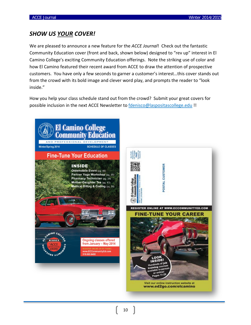# *SHOW US YOUR COVER!*

We are pleased to announce a new feature for the *ACCE Journal*! Check out the fantastic Community Education cover (front and back, shown below) designed to "rev up" interest in El Camino College's exciting Community Education offerings. Note the striking use of color and how El Camino featured their recent award from ACCE to draw the attention of prospective customers. You have only a few seconds to garner a customer's interest…this cover stands out from the crowd with its bold image and clever word play, and prompts the reader to "look inside."

How you help your class schedule stand out from the crowd? Submit your great covers for possible inclusion in the next ACCE Newsletter to [fdenisco@laspositascollege.edu](mailto:fdenisco@laspositascollege.edu) !!

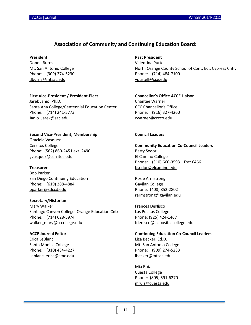## **Association of Community and Continuing Education Board:**

#### **President**

Donna Burns Mt. San Antonio College Phone: (909) 274-5230 [dburns@mtsac.edu](mailto:dburns@mtsac.edu)

## **First Vice-President / President-Elect**

Jarek Janio, Ph.D. Santa Ana College/Centennial Education Center Phone: (714) 241-5773 [Janio\\_Jarek@sac.edu](mailto:Janio_Jarek@sac.edu)

#### **Second Vice-President, Membership**

Graciela Vasquez Cerritos College Phone: (562) 860-2451 ext. 2490 [gvasquez@cerritos.edu](mailto:gvasquez@cerritos.edu)

#### **Treasurer**

Bob Parker San Diego Continuing Education Phone: (619) 388-4884 [bparker@sdccd.edu](mailto:bparker@sdccd.edu)

#### **Secretary/Historian**

Mary Walker Santiago Canyon College, Orange Education Cntr. Phone: (714) 628-5974 [walker\\_mary@sccollege.edu](mailto:walker_mary@sccollege.edu)

#### **ACCE Journal Editor**

Erica LeBlanc Santa Monica College Phone: (310) 434-4227 [Leblanc\\_erica@smc.edu](mailto:Leblanc_erica@smc.edu)

## **Past President**

Valentina Purtell North Orange County School of Cont. Ed., Cypress Cntr. Phone: (714) 484-7100 [vpurtell@sce.edu](mailto:vpurtell@sce.edu)

# **Chancellor's Office ACCE Liaison** Chantee Warner

CCC Chancellor's Office Phone: (916) 327-4260 [cwarner@cccco.edu](mailto:jescajeda@cccco.edu)

## **Council Leaders**

**Community Education Co-Council Leaders** Betty Sedor El Camino College Phone: (310) 660-3593 Ext: 6466 [bsedor@elcamino.edu](mailto:bsedor@elcamino.edu)

Rosie Armstrong Gavilan College Phone: (408) 852-2802 [rarmstrong@gavilan.edu](mailto:rarmstrong@gavilan.edu)

Frances DeNisco Las Positas College Phone: (925) 424-1467 [fdenisco@laspositascollege.edu](mailto:fdenisco@laspositascollege.edu)

**Continuing Education Co-Council Leaders** Liza Becker, Ed.D. Mt. San Antonio College Phone: (909) 274-5233 [lbecker@mtsac.edu](mailto:lbecker@mtsac.edu)

Mia Ruiz Cuesta College Phone: (805) 591-6270 [mruiz@cuesta.edu](mailto:mruiz@cuesta.edu)